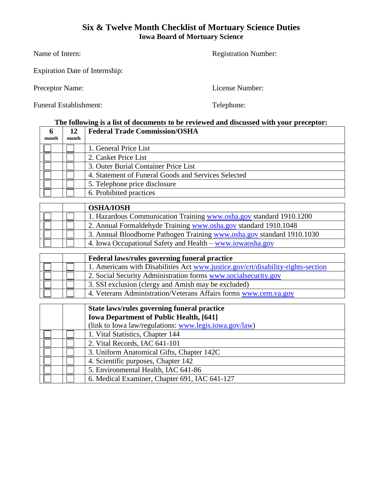#### **Six & Twelve Month Checklist of Mortuary Science Duties Iowa Board of Mortuary Science**

Name of Intern: Registration Number:

Expiration Date of Internship:

Preceptor Name: License Number:

Funeral Establishment: Telephone:

### **The following is a list of documents to be reviewed and discussed with your preceptor:**

| month | month | <b>Federal Trade Commission/OSHA</b>                |
|-------|-------|-----------------------------------------------------|
|       |       | 1. General Price List                               |
|       |       | 2. Casket Price List                                |
|       |       | 3. Outer Burial Container Price List                |
|       |       | 4. Statement of Funeral Goods and Services Selected |
|       |       | 5. Telephone price disclosure                       |
|       |       | 6. Prohibited practices                             |

|  | <b>OSHA/IOSH</b>                                                       |
|--|------------------------------------------------------------------------|
|  | 1. Hazardous Communication Training www.osha.gov standard 1910.1200    |
|  | 2. Annual Formaldehyde Training www.osha.gov standard 1910.1048        |
|  | 3. Annual Bloodborne Pathogen Training www.osha.gov standard 1910.1030 |
|  | 4. Iowa Occupational Safety and Health – www.jowaosha.gov              |

|  | Federal laws/rules governing funeral practice                                    |
|--|----------------------------------------------------------------------------------|
|  | 1. Americans with Disabilities Act www.justice.gov/crt/disability-rights-section |
|  | 2. Social Security Administration forms www.socialsecurity.gov                   |
|  | 3. SSI exclusion (clergy and Amish may be excluded)                              |
|  | 4. Veterans Administration/Veterans Affairs forms www.cem.va.gov                 |

|  | State laws/rules governing funeral practice            |
|--|--------------------------------------------------------|
|  | <b>Iowa Department of Public Health, [641]</b>         |
|  | (link to Iowa law/regulations: www.legis.jowa.gov/law) |
|  | 1. Vital Statistics, Chapter 144                       |
|  | 2. Vital Records, IAC 641-101                          |
|  | 3. Uniform Anatomical Gifts, Chapter 142C              |
|  | 4. Scientific purposes, Chapter 142                    |
|  | 5. Environmental Health, IAC 641-86                    |
|  | 6. Medical Examiner, Chapter 691, IAC 641-127          |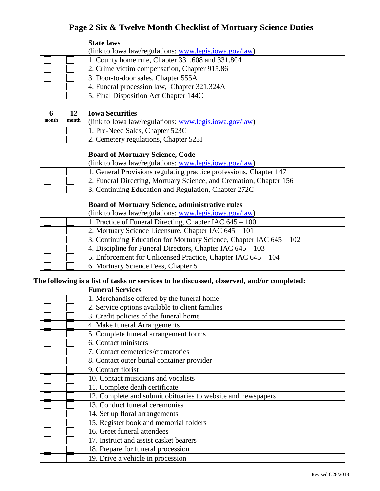### **Page 2 Six & Twelve Month Checklist of Mortuary Science Duties**

|  | <b>State laws</b>                                                 |
|--|-------------------------------------------------------------------|
|  | (link to Iowa law/regulations: $\frac{www.legis.iowa.gov/law)}{}$ |
|  | 1. County home rule, Chapter 331.608 and 331.804                  |
|  | 2. Crime victim compensation, Chapter 915.86                      |
|  | 3. Door-to-door sales, Chapter 555A                               |
|  | 4. Funeral procession law, Chapter 321.324A                       |
|  | 5. Final Disposition Act Chapter 144C                             |

| month | month | 12   Iowa Securities<br>(link to Iowa law/regulations: www.legis.iowa.gov/law) |
|-------|-------|--------------------------------------------------------------------------------|
|       |       | 1. Pre-Need Sales, Chapter 523C                                                |
|       |       | 2. Cemetery regulations, Chapter 523I                                          |

|  | <b>Board of Mortuary Science, Code</b>                             |
|--|--------------------------------------------------------------------|
|  | (link to Iowa law/regulations: www.legis.jowa.gov/law)             |
|  | 1. General Provisions regulating practice professions, Chapter 147 |
|  | 2. Funeral Directing, Mortuary Science, and Cremation, Chapter 156 |
|  | 3. Continuing Education and Regulation, Chapter 272C               |

|  | <b>Board of Mortuary Science, administrative rules</b>              |
|--|---------------------------------------------------------------------|
|  | (link to Iowa law/regulations: www.legis.jowa.gov/law)              |
|  | 1. Practice of Funeral Directing, Chapter IAC 645 – 100             |
|  | 2. Mortuary Science Licensure, Chapter IAC 645 – 101                |
|  | 3. Continuing Education for Mortuary Science, Chapter IAC 645 – 102 |
|  | 4. Discipline for Funeral Directors, Chapter IAC $645 - 103$        |
|  | 5. Enforcement for Unlicensed Practice, Chapter IAC 645 – 104       |
|  | 6. Mortuary Science Fees, Chapter 5                                 |

### **The following is a list of tasks or services to be discussed, observed, and/or completed:**

|  | <b>Funeral Services</b>                                      |
|--|--------------------------------------------------------------|
|  | 1. Merchandise offered by the funeral home                   |
|  | 2. Service options available to client families              |
|  | 3. Credit policies of the funeral home                       |
|  | 4. Make funeral Arrangements                                 |
|  | 5. Complete funeral arrangement forms                        |
|  | 6. Contact ministers                                         |
|  | 7. Contact cemeteries/crematories                            |
|  | 8. Contact outer burial container provider                   |
|  | 9. Contact florist                                           |
|  | 10. Contact musicians and vocalists                          |
|  | 11. Complete death certificate                               |
|  | 12. Complete and submit obituaries to website and newspapers |
|  | 13. Conduct funeral ceremonies                               |
|  | 14. Set up floral arrangements                               |
|  | 15. Register book and memorial folders                       |
|  | 16. Greet funeral attendees                                  |
|  | 17. Instruct and assist casket bearers                       |
|  | 18. Prepare for funeral procession                           |
|  | 19. Drive a vehicle in procession                            |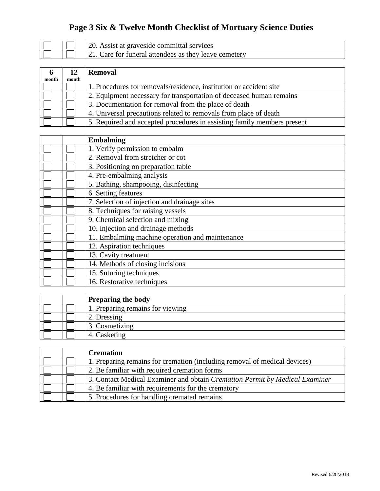# **Page 3 Six & Twelve Month Checklist of Mortuary Science Duties**

|  | 20. Assist at graveside committal services             |
|--|--------------------------------------------------------|
|  | 121. Care for funeral attendees as they leave cemetery |

| $\mathbf b$<br>month | 12<br>month | <b>Removal</b>                                                          |
|----------------------|-------------|-------------------------------------------------------------------------|
|                      |             | 1. Procedures for removals/residence, institution or accident site      |
|                      |             | 2. Equipment necessary for transportation of deceased human remains     |
|                      |             | 3. Documentation for removal from the place of death                    |
|                      |             | 4. Universal precautions related to removals from place of death        |
|                      |             | 5. Required and accepted procedures in assisting family members present |

|  | <b>Embalming</b>                                |
|--|-------------------------------------------------|
|  | 1. Verify permission to embalm                  |
|  | 2. Removal from stretcher or cot                |
|  | 3. Positioning on preparation table             |
|  | 4. Pre-embalming analysis                       |
|  | 5. Bathing, shampooing, disinfecting            |
|  | 6. Setting features                             |
|  | 7. Selection of injection and drainage sites    |
|  | 8. Techniques for raising vessels               |
|  | 9. Chemical selection and mixing                |
|  | 10. Injection and drainage methods              |
|  | 11. Embalming machine operation and maintenance |
|  | 12. Aspiration techniques                       |
|  | 13. Cavity treatment                            |
|  | 14. Methods of closing incisions                |
|  | 15. Suturing techniques                         |
|  | 16. Restorative techniques                      |

|  | <b>Preparing the body</b>        |
|--|----------------------------------|
|  | 1. Preparing remains for viewing |
|  | 2. Dressing                      |
|  | 3. Cosmetizing                   |
|  | 4. Casketing                     |

|  | <b>Cremation</b>                                                            |  |
|--|-----------------------------------------------------------------------------|--|
|  | 1. Preparing remains for cremation (including removal of medical devices)   |  |
|  | 2. Be familiar with required cremation forms                                |  |
|  | 3. Contact Medical Examiner and obtain Cremation Permit by Medical Examiner |  |
|  | 4. Be familiar with requirements for the crematory                          |  |
|  | 5. Procedures for handling cremated remains                                 |  |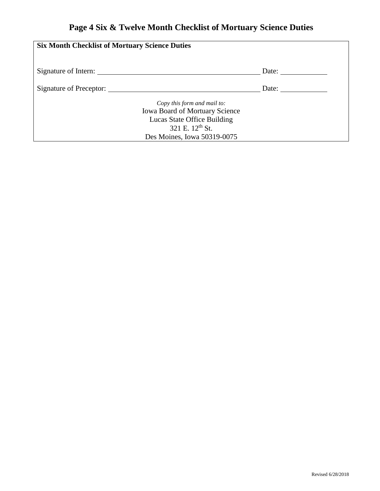# **Page 4 Six & Twelve Month Checklist of Mortuary Science Duties**

| <b>Six Month Checklist of Mortuary Science Duties</b>                                                                                                             |                       |  |  |  |  |  |
|-------------------------------------------------------------------------------------------------------------------------------------------------------------------|-----------------------|--|--|--|--|--|
| Signature of Intern:                                                                                                                                              | Date: $\qquad \qquad$ |  |  |  |  |  |
| Signature of Preceptor:                                                                                                                                           | Date:                 |  |  |  |  |  |
| Copy this form and mail to:<br><b>Iowa Board of Mortuary Science</b><br>Lucas State Office Building<br>321 E. 12 <sup>th</sup> St.<br>Des Moines, Iowa 50319-0075 |                       |  |  |  |  |  |